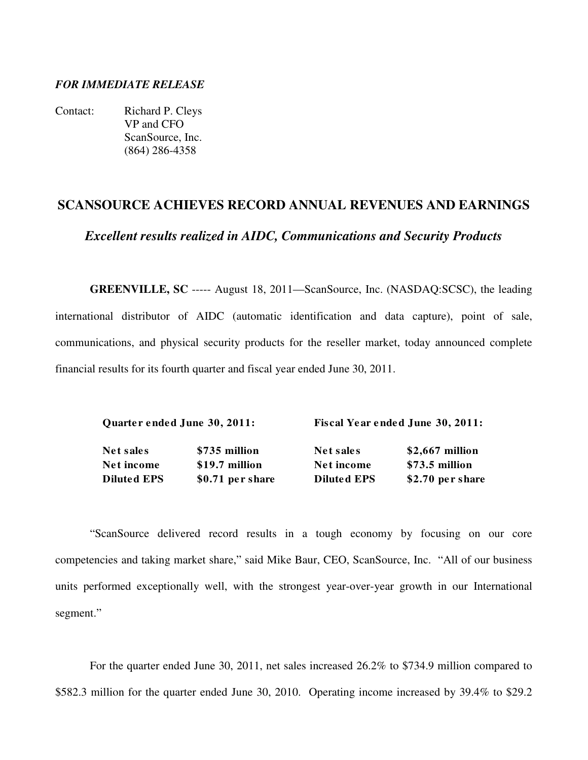# *FOR IMMEDIATE RELEASE*

Contact: Richard P. Cleys VP and CFO ScanSource, Inc. (864) 286-4358

# **SCANSOURCE ACHIEVES RECORD ANNUAL REVENUES AND EARNINGS**  *Excellent results realized in AIDC, Communications and Security Products*

**GREENVILLE, SC** ----- August 18, 2011—ScanSource, Inc. (NASDAQ:SCSC), the leading international distributor of AIDC (automatic identification and data capture), point of sale, communications, and physical security products for the reseller market, today announced complete financial results for its fourth quarter and fiscal year ended June 30, 2011.

| Quarter ended June 30, 2011: | Fiscal Year ended June 30, 2011: |
|------------------------------|----------------------------------|
|                              |                                  |

Net sales 5735 million Net sales \$2,667 million Net income \$19.7 million Net income \$73.5 million **Diluted EPS** \$0.71 per share **Diluted EPS** \$2.70 per share

 "ScanSource delivered record results in a tough economy by focusing on our core competencies and taking market share," said Mike Baur, CEO, ScanSource, Inc. "All of our business units performed exceptionally well, with the strongest year-over-year growth in our International segment."

 For the quarter ended June 30, 2011, net sales increased 26.2% to \$734.9 million compared to \$582.3 million for the quarter ended June 30, 2010. Operating income increased by 39.4% to \$29.2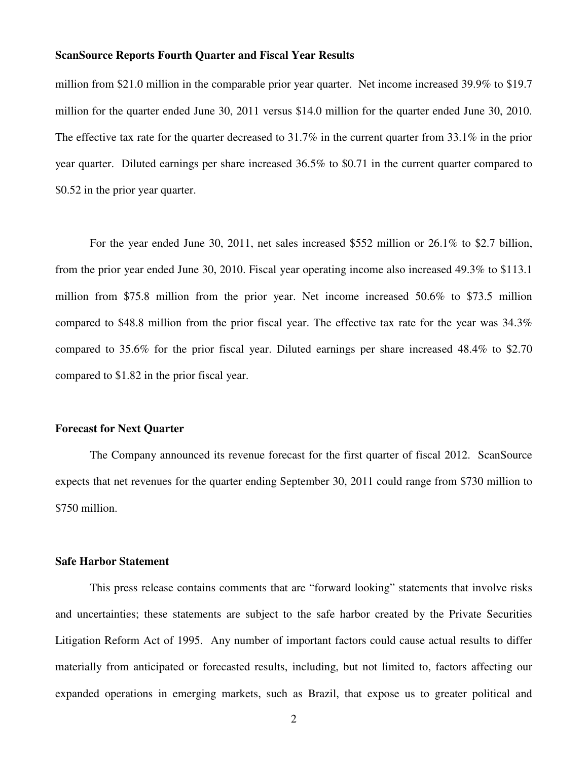million from \$21.0 million in the comparable prior year quarter. Net income increased 39.9% to \$19.7 million for the quarter ended June 30, 2011 versus \$14.0 million for the quarter ended June 30, 2010. The effective tax rate for the quarter decreased to 31.7% in the current quarter from 33.1% in the prior year quarter. Diluted earnings per share increased 36.5% to \$0.71 in the current quarter compared to \$0.52 in the prior year quarter.

For the year ended June 30, 2011, net sales increased \$552 million or 26.1% to \$2.7 billion, from the prior year ended June 30, 2010. Fiscal year operating income also increased 49.3% to \$113.1 million from \$75.8 million from the prior year. Net income increased 50.6% to \$73.5 million compared to \$48.8 million from the prior fiscal year. The effective tax rate for the year was 34.3% compared to 35.6% for the prior fiscal year. Diluted earnings per share increased 48.4% to \$2.70 compared to \$1.82 in the prior fiscal year.

#### **Forecast for Next Quarter**

 The Company announced its revenue forecast for the first quarter of fiscal 2012. ScanSource expects that net revenues for the quarter ending September 30, 2011 could range from \$730 million to \$750 million.

#### **Safe Harbor Statement**

 This press release contains comments that are "forward looking" statements that involve risks and uncertainties; these statements are subject to the safe harbor created by the Private Securities Litigation Reform Act of 1995. Any number of important factors could cause actual results to differ materially from anticipated or forecasted results, including, but not limited to, factors affecting our expanded operations in emerging markets, such as Brazil, that expose us to greater political and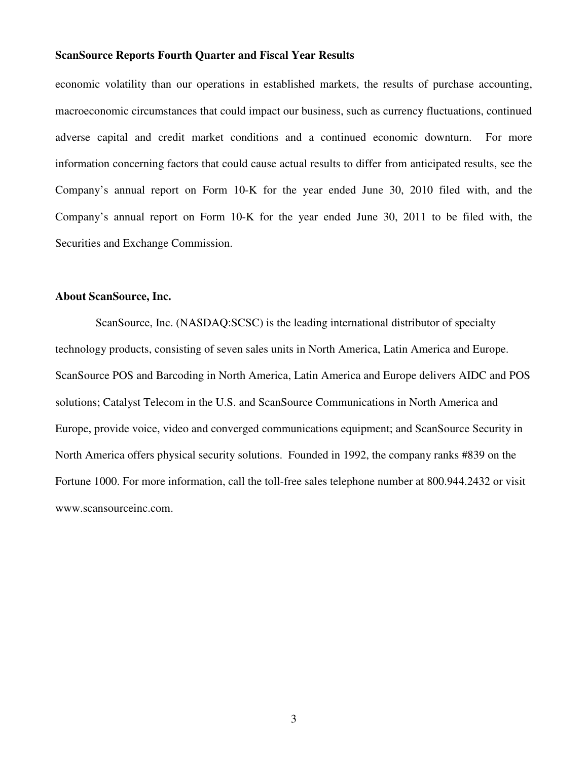economic volatility than our operations in established markets, the results of purchase accounting, macroeconomic circumstances that could impact our business, such as currency fluctuations, continued adverse capital and credit market conditions and a continued economic downturn. For more information concerning factors that could cause actual results to differ from anticipated results, see the Company's annual report on Form 10-K for the year ended June 30, 2010 filed with, and the Company's annual report on Form 10-K for the year ended June 30, 2011 to be filed with, the Securities and Exchange Commission.

## **About ScanSource, Inc.**

 ScanSource, Inc. (NASDAQ:SCSC) is the leading international distributor of specialty technology products, consisting of seven sales units in North America, Latin America and Europe. ScanSource POS and Barcoding in North America, Latin America and Europe delivers AIDC and POS solutions; Catalyst Telecom in the U.S. and ScanSource Communications in North America and Europe, provide voice, video and converged communications equipment; and ScanSource Security in North America offers physical security solutions. Founded in 1992, the company ranks #839 on the Fortune 1000. For more information, call the toll-free sales telephone number at 800.944.2432 or visit www.scansourceinc.com.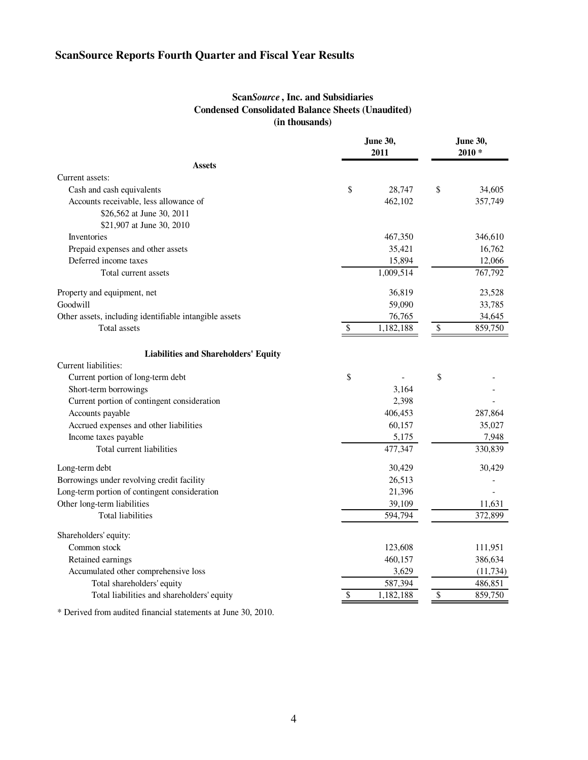## **Scan***Source* **, Inc. and Subsidiaries Condensed Consolidated Balance Sheets (Unaudited) (in thousands)**

|                                                        | <b>June 30,</b><br>2011      | <b>June 30,</b><br>$2010*$ |           |  |
|--------------------------------------------------------|------------------------------|----------------------------|-----------|--|
| <b>Assets</b>                                          |                              |                            |           |  |
| Current assets:                                        |                              |                            |           |  |
| Cash and cash equivalents                              | \$<br>28,747                 | \$                         | 34,605    |  |
| Accounts receivable, less allowance of                 | 462,102                      |                            | 357,749   |  |
| \$26,562 at June 30, 2011                              |                              |                            |           |  |
| \$21,907 at June 30, 2010                              |                              |                            |           |  |
| <b>Inventories</b>                                     | 467,350                      |                            | 346,610   |  |
| Prepaid expenses and other assets                      | 35,421                       |                            | 16,762    |  |
| Deferred income taxes                                  | 15,894                       |                            | 12,066    |  |
| Total current assets                                   | 1,009,514                    |                            | 767,792   |  |
| Property and equipment, net                            | 36,819                       |                            | 23,528    |  |
| Goodwill                                               | 59,090                       |                            | 33,785    |  |
| Other assets, including identifiable intangible assets | 76,765                       |                            | 34,645    |  |
| Total assets                                           | \$<br>1,182,188              | \$                         | 859,750   |  |
| <b>Liabilities and Shareholders' Equity</b>            |                              |                            |           |  |
| Current liabilities:                                   |                              |                            |           |  |
| Current portion of long-term debt                      | \$                           | \$                         |           |  |
| Short-term borrowings                                  | 3,164                        |                            |           |  |
| Current portion of contingent consideration            | 2,398                        |                            |           |  |
| Accounts payable                                       | 406,453                      |                            | 287,864   |  |
| Accrued expenses and other liabilities                 | 60,157                       |                            | 35,027    |  |
| Income taxes payable                                   | 5,175                        |                            | 7,948     |  |
| Total current liabilities                              | 477,347                      |                            | 330,839   |  |
| Long-term debt                                         | 30,429                       |                            | 30,429    |  |
| Borrowings under revolving credit facility             | 26,513                       |                            |           |  |
| Long-term portion of contingent consideration          | 21,396                       |                            |           |  |
| Other long-term liabilities                            | 39,109                       |                            | 11,631    |  |
| <b>Total liabilities</b>                               | 594,794                      |                            | 372,899   |  |
| Shareholders' equity:                                  |                              |                            |           |  |
| Common stock                                           | 123,608                      |                            | 111,951   |  |
| Retained earnings                                      | 460,157                      |                            | 386,634   |  |
| Accumulated other comprehensive loss                   | 3,629                        |                            | (11, 734) |  |
| Total shareholders' equity                             | 587,394                      |                            | 486,851   |  |
| Total liabilities and shareholders' equity             | \$<br>$\overline{1,}182,188$ | \$                         | 859,750   |  |

\* Derived from audited financial statements at June 30, 2010.